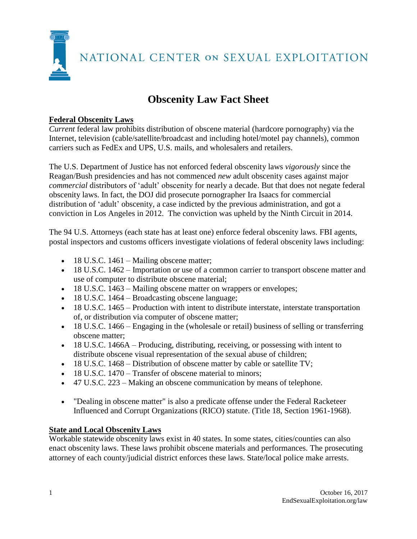

NATIONAL CENTER ON SEXUAL EXPLOITATION

# **Obscenity Law Fact Sheet**

## **Federal Obscenity Laws**

*Current* federal law prohibits distribution of obscene material (hardcore pornography) via the Internet, television (cable/satellite/broadcast and including hotel/motel pay channels), common carriers such as FedEx and UPS, U.S. mails, and wholesalers and retailers.

The U.S. Department of Justice has not enforced federal obscenity laws *vigorously* since the Reagan/Bush presidencies and has not commenced *new* adult obscenity cases against major *commercial* distributors of 'adult' obscenity for nearly a decade. But that does not negate federal obscenity laws. In fact, the DOJ did prosecute pornographer Ira Isaacs for commercial distribution of 'adult' obscenity, a case indicted by the previous administration, and got a conviction in Los Angeles in 2012. The conviction was upheld by the Ninth Circuit in 2014.

The 94 U.S. Attorneys (each state has at least one) enforce federal obscenity laws. FBI agents, postal inspectors and customs officers investigate violations of federal obscenity laws including:

- $\bullet$  18 U.S.C. 1461 Mailing obscene matter;
- 18 U.S.C. 1462 Importation or use of a common carrier to transport obscene matter and use of computer to distribute obscene material;
- 18 U.S.C. 1463 Mailing obscene matter on wrappers or envelopes;
- $\bullet$  18 U.S.C. 1464 Broadcasting obscene language;
- 18 U.S.C. 1465 Production with intent to distribute interstate, interstate transportation of, or distribution via computer of obscene matter;
- 18 U.S.C. 1466 Engaging in the (wholesale or retail) business of selling or transferring obscene matter;
- $\bullet$  18 U.S.C. 1466A Producing, distributing, receiving, or possessing with intent to distribute obscene visual representation of the sexual abuse of children;
- 18 U.S.C. 1468 Distribution of obscene matter by cable or satellite TV:
- 18 U.S.C. 1470 Transfer of obscene material to minors;
- 47 U.S.C. 223 Making an obscene communication by means of telephone.
- "Dealing in obscene matter" is also a predicate offense under the Federal Racketeer Influenced and Corrupt Organizations (RICO) statute. (Title 18, Section 1961-1968).

## **State and Local Obscenity Laws**

Workable statewide obscenity laws exist in 40 states. In some states, cities/counties can also enact obscenity laws. These laws prohibit obscene materials and performances. The prosecuting attorney of each county/judicial district enforces these laws. State/local police make arrests.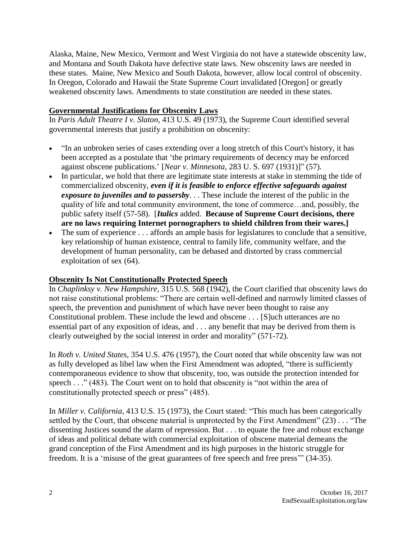Alaska, Maine, New Mexico, Vermont and West Virginia do not have a statewide obscenity law, and Montana and South Dakota have defective state laws. New obscenity laws are needed in these states. Maine, New Mexico and South Dakota, however, allow local control of obscenity. In Oregon, Colorado and Hawaii the State Supreme Court invalidated [Oregon] or greatly weakened obscenity laws. Amendments to state constitution are needed in these states.

#### **Governmental Justifications for Obscenity Laws**

In *Paris Adult Theatre I v. Slaton,* 413 U.S. 49 (1973), the Supreme Court identified several governmental interests that justify a prohibition on obscenity:

- "In an unbroken series of cases extending over a long stretch of this Court's history, it has been accepted as a postulate that 'the primary requirements of decency may be enforced against obscene publications.' [*Near v. Minnesota,* [283 U. S. 697](https://supreme.justia.com/us/283/697/case.html) (1931)]" (57).
- In particular, we hold that there are legitimate state interests at stake in stemming the tide of commercialized obscenity, *even if it is feasible to enforce effective safeguards against exposure to juveniles and to passersby*. . . These include the interest of the public in the quality of life and total community environment, the tone of commerce…and, possibly, the public safety itself (57-58). [*Italics* added. **Because of Supreme Court decisions, there are no laws requiring Internet pornographers to shield children from their wares.]**
- The sum of experience . . . affords an ample basis for legislatures to conclude that a sensitive, key relationship of human existence, central to family life, community welfare, and the development of human personality, can be debased and distorted by crass commercial exploitation of sex (64).

## **Obscenity Is Not Constitutionally Protected Speech**

In *Chaplinksy v. New Hampshire*, 315 U.S. 568 (1942), the Court clarified that obscenity laws do not raise constitutional problems: "There are certain well-defined and narrowly limited classes of speech, the prevention and punishment of which have never been thought to raise any Constitutional problem. These include the lewd and obscene . . . [S]uch utterances are no essential part of any exposition of ideas, and . . . any benefit that may be derived from them is clearly outweighed by the social interest in order and morality" (571-72).

In *Roth v. United States*, 354 U.S. 476 (1957), the Court noted that while obscenity law was not as fully developed as libel law when the First Amendment was adopted, "there is sufficiently contemporaneous evidence to show that obscenity, too, was outside the protection intended for speech . . ." (483). The Court went on to hold that obscenity is "not within the area of constitutionally protected speech or press" (485).

In *Miller v. California*, 413 U.S. 15 (1973), the Court stated: "This much has been categorically settled by the Court, that obscene material is unprotected by the First Amendment" (23) . . . "The dissenting Justices sound the alarm of repression. But . . . to equate the free and robust exchange of ideas and political debate with commercial exploitation of obscene material demeans the grand conception of the First Amendment and its high purposes in the historic struggle for freedom. It is a 'misuse of the great guarantees of free speech and free press'" (34-35).